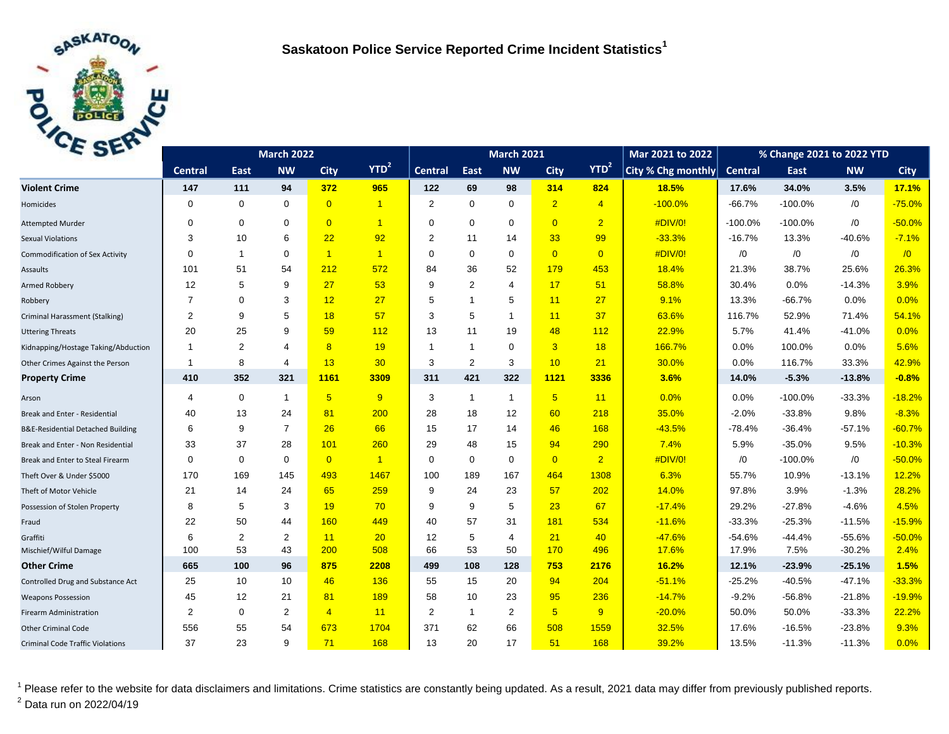

| C <sub>2F</sub>                              | <b>March 2022</b> |                |                |                |                | <b>March 2021</b> |                |                |                |                  | Mar 2021 to 2022   | % Change 2021 to 2022 YTD |           |            |             |
|----------------------------------------------|-------------------|----------------|----------------|----------------|----------------|-------------------|----------------|----------------|----------------|------------------|--------------------|---------------------------|-----------|------------|-------------|
|                                              | <b>Central</b>    | East           | <b>NW</b>      | <b>City</b>    | $YTD^2$        | <b>Central</b>    | East           | <b>NW</b>      | <b>City</b>    | YTD <sup>2</sup> | City % Chg monthly | <b>Central</b>            | East      | <b>NW</b>  | <b>City</b> |
| <b>Violent Crime</b>                         | 147               | 111            | 94             | 372            | 965            | 122               | 69             | 98             | 314            | 824              | 18.5%              | 17.6%                     | 34.0%     | 3.5%       | 17.1%       |
| Homicides                                    | $\mathbf 0$       | $\mathbf 0$    | $\mathbf 0$    | $\overline{0}$ | $\overline{1}$ | 2                 | $\mathbf 0$    | $\mathbf 0$    | $\overline{2}$ | $\overline{4}$   | $-100.0%$          | $-66.7%$                  | $-100.0%$ | /0         | $-75.0%$    |
| <b>Attempted Murder</b>                      | $\Omega$          | $\mathbf 0$    | $\mathbf 0$    | $\overline{0}$ | $\overline{1}$ | $\Omega$          | $\mathbf 0$    | $\mathbf 0$    | $\overline{0}$ | $\overline{2}$   | #DIV/0!            | $-100.0%$                 | $-100.0%$ | $\sqrt{0}$ | $-50.0%$    |
| <b>Sexual Violations</b>                     | 3                 | 10             | 6              | 22             | 92             | 2                 | 11             | 14             | 33             | 99               | $-33.3%$           | $-16.7%$                  | 13.3%     | $-40.6%$   | $-7.1%$     |
| <b>Commodification of Sex Activity</b>       | $\Omega$          | $\overline{1}$ | $\Omega$       | $\overline{1}$ | $\overline{1}$ | $\Omega$          | $\Omega$       | $\mathbf 0$    | $\overline{0}$ | $\overline{0}$   | #DIV/0!            | /0                        | /0        | $\sqrt{0}$ | $\sqrt{0}$  |
| Assaults                                     | 101               | 51             | 54             | 212            | 572            | 84                | 36             | 52             | 179            | 453              | 18.4%              | 21.3%                     | 38.7%     | 25.6%      | 26.3%       |
| Armed Robbery                                | 12                | 5              | 9              | 27             | 53             | 9                 | $\overline{2}$ | 4              | 17             | 51               | 58.8%              | 30.4%                     | 0.0%      | $-14.3%$   | 3.9%        |
| Robbery                                      | $\overline{7}$    | $\mathbf 0$    | 3              | 12             | 27             | 5                 | $\overline{1}$ | 5              | 11             | 27               | 9.1%               | 13.3%                     | $-66.7%$  | 0.0%       | 0.0%        |
| Criminal Harassment (Stalking)               | 2                 | 9              | 5              | 18             | 57             | 3                 | 5              | $\mathbf{1}$   | 11             | 37               | 63.6%              | 116.7%                    | 52.9%     | 71.4%      | 54.1%       |
| <b>Uttering Threats</b>                      | 20                | 25             | 9              | 59             | 112            | 13                | 11             | 19             | 48             | 112              | 22.9%              | 5.7%                      | 41.4%     | $-41.0%$   | 0.0%        |
| Kidnapping/Hostage Taking/Abduction          | $\mathbf{1}$      | 2              | 4              | 8              | 19             | -1                | $\mathbf{1}$   | $\mathbf 0$    | 3 <sup>1</sup> | 18               | 166.7%             | 0.0%                      | 100.0%    | 0.0%       | 5.6%        |
| Other Crimes Against the Person              | 1                 | 8              | 4              | 13             | 30             | 3                 | 2              | 3              | 10             | 21               | 30.0%              | 0.0%                      | 116.7%    | 33.3%      | 42.9%       |
| <b>Property Crime</b>                        | 410               | 352            | 321            | 1161           | 3309           | 311               | 421            | 322            | 1121           | 3336             | 3.6%               | 14.0%                     | $-5.3%$   | $-13.8%$   | $-0.8%$     |
| Arson                                        | 4                 | $\mathbf 0$    | $\mathbf{1}$   | 5 <sup>5</sup> | 9              | 3                 | $\mathbf{1}$   | $\mathbf{1}$   | 5 <sup>5</sup> | 11               | 0.0%               | 0.0%                      | $-100.0%$ | $-33.3%$   | $-18.2%$    |
| Break and Enter - Residential                | 40                | 13             | 24             | 81             | 200            | 28                | 18             | 12             | 60             | 218              | 35.0%              | $-2.0%$                   | $-33.8%$  | 9.8%       | $-8.3%$     |
| <b>B&amp;E-Residential Detached Building</b> | 6                 | 9              | $\overline{7}$ | 26             | 66             | 15                | 17             | 14             | 46             | 168              | $-43.5%$           | $-78.4%$                  | $-36.4%$  | $-57.1%$   | $-60.7%$    |
| Break and Enter - Non Residential            | 33                | 37             | 28             | 101            | 260            | 29                | 48             | 15             | 94             | 290              | 7.4%               | 5.9%                      | $-35.0%$  | 9.5%       | $-10.3%$    |
| Break and Enter to Steal Firearm             | $\mathbf 0$       | $\mathbf 0$    | $\mathbf 0$    | $\overline{0}$ | $\overline{1}$ | 0                 | $\mathbf 0$    | $\mathbf 0$    | $\overline{0}$ | $\overline{2}$   | #DIV/0!            | /0                        | $-100.0%$ | $\sqrt{0}$ | $-50.0%$    |
| Theft Over & Under \$5000                    | 170               | 169            | 145            | 493            | 1467           | 100               | 189            | 167            | 464            | 1308             | 6.3%               | 55.7%                     | 10.9%     | $-13.1%$   | 12.2%       |
| Theft of Motor Vehicle                       | 21                | 14             | 24             | 65             | 259            | 9                 | 24             | 23             | 57             | 202              | 14.0%              | 97.8%                     | 3.9%      | $-1.3%$    | 28.2%       |
| Possession of Stolen Property                | 8                 | 5              | 3              | 19             | 70             | 9                 | 9              | 5              | 23             | 67               | $-17.4%$           | 29.2%                     | $-27.8%$  | $-4.6%$    | 4.5%        |
| Fraud                                        | 22                | 50             | 44             | 160            | 449            | 40                | 57             | 31             | 181            | 534              | $-11.6%$           | $-33.3%$                  | $-25.3%$  | $-11.5%$   | $-15.9%$    |
| Graffiti                                     | 6                 | 2              | $\overline{2}$ | 11             | 20             | 12                | 5              | $\overline{4}$ | 21             | 40               | $-47.6%$           | $-54.6%$                  | $-44.4%$  | $-55.6%$   | $-50.0%$    |
| Mischief/Wilful Damage                       | 100               | 53             | 43             | 200            | 508            | 66                | 53             | 50             | 170            | 496              | 17.6%              | 17.9%                     | 7.5%      | $-30.2%$   | 2.4%        |
| <b>Other Crime</b>                           | 665               | 100            | 96             | 875            | 2208           | 499               | 108            | 128            | 753            | 2176             | 16.2%              | 12.1%                     | $-23.9%$  | $-25.1%$   | 1.5%        |
| Controlled Drug and Substance Act            | 25                | 10             | 10             | 46             | 136            | 55                | 15             | 20             | 94             | 204              | $-51.1%$           | $-25.2%$                  | $-40.5%$  | $-47.1%$   | $-33.3%$    |
| <b>Weapons Possession</b>                    | 45                | 12             | 21             | 81             | 189            | 58                | 10             | 23             | 95             | 236              | $-14.7%$           | $-9.2%$                   | $-56.8%$  | $-21.8%$   | $-19.9%$    |
| Firearm Administration                       | $\overline{2}$    | $\mathbf 0$    | 2              | $\overline{4}$ | 11             | 2                 | $\mathbf{1}$   | 2              | 5 <sub>5</sub> | 9                | $-20.0%$           | 50.0%                     | 50.0%     | $-33.3%$   | 22.2%       |
| <b>Other Criminal Code</b>                   | 556               | 55             | 54             | 673            | 1704           | 371               | 62             | 66             | 508            | 1559             | 32.5%              | 17.6%                     | $-16.5%$  | $-23.8%$   | 9.3%        |
| <b>Criminal Code Traffic Violations</b>      | 37                | 23             | 9              | 71             | 168            | 13                | 20             | 17             | 51             | 168              | 39.2%              | 13.5%                     | $-11.3%$  | $-11.3%$   | 0.0%        |

<sup>1</sup> Please refer to the website for data disclaimers and limitations. Crime statistics are constantly being updated. As a result, 2021 data may differ from previously published reports. <sup>2</sup> Data run on 2022/04/19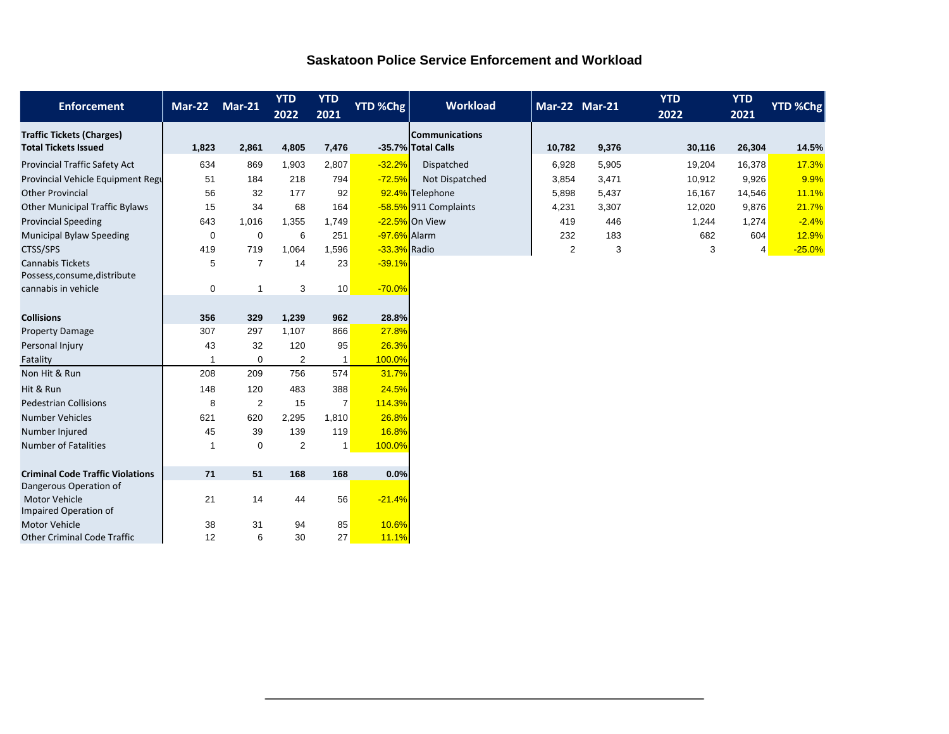| <b>Saskatoon Police Service Enforcement and Workload</b> |  |
|----------------------------------------------------------|--|
|                                                          |  |

| <b>Enforcement</b>                                      | <b>Mar-22</b> | <b>Mar-21</b>  | <b>YTD</b><br>2022 | <b>YTD</b><br>2021 | YTD %Chg     | <b>Workload</b>       | <b>Mar-22 Mar-21</b> |       | <b>YTD</b><br>2022 | <b>YTD</b><br>2021 | <b>YTD %Chg</b> |
|---------------------------------------------------------|---------------|----------------|--------------------|--------------------|--------------|-----------------------|----------------------|-------|--------------------|--------------------|-----------------|
| <b>Traffic Tickets (Charges)</b>                        |               |                |                    |                    |              | <b>Communications</b> |                      |       |                    |                    |                 |
| <b>Total Tickets Issued</b>                             | 1,823         | 2,861          | 4,805              | 7,476              |              | -35.7% Total Calls    | 10,782               | 9,376 | 30,116             | 26,304             | 14.5%           |
| Provincial Traffic Safety Act                           | 634           | 869            | 1,903              | 2,807              | $-32.2%$     | Dispatched            | 6,928                | 5,905 | 19,204             | 16,378             | 17.3%           |
| Provincial Vehicle Equipment Regu                       | 51            | 184            | 218                | 794                | $-72.5%$     | Not Dispatched        | 3,854                | 3,471 | 10,912             | 9,926              | 9.9%            |
| <b>Other Provincial</b>                                 | 56            | 32             | 177                | 92                 |              | 92.4% Telephone       | 5,898                | 5,437 | 16,167             | 14,546             | 11.1%           |
| <b>Other Municipal Traffic Bylaws</b>                   | 15            | 34             | 68                 | 164                |              | -58.5% 911 Complaints | 4,231                | 3,307 | 12,020             | 9,876              | 21.7%           |
| <b>Provincial Speeding</b>                              | 643           | 1,016          | 1,355              | 1,749              |              | -22.5% On View        | 419                  | 446   | 1,244              | 1,274              | $-2.4%$         |
| <b>Municipal Bylaw Speeding</b>                         | $\mathbf 0$   | $\mathbf 0$    | 6                  | 251                | -97.6% Alarm |                       | 232                  | 183   | 682                | 604                | 12.9%           |
| CTSS/SPS                                                | 419           | 719            | 1,064              | 1,596              | -33.3% Radio |                       | 2                    | 3     | 3                  | 4                  | $-25.0%$        |
| <b>Cannabis Tickets</b><br>Possess, consume, distribute | 5             | $\overline{7}$ | 14                 | 23                 | $-39.1%$     |                       |                      |       |                    |                    |                 |
| cannabis in vehicle                                     | $\mathbf 0$   | $\mathbf{1}$   | 3                  | 10                 | $-70.0%$     |                       |                      |       |                    |                    |                 |
|                                                         |               |                |                    |                    |              |                       |                      |       |                    |                    |                 |
| <b>Collisions</b>                                       | 356           | 329            | 1,239              | 962                | 28.8%        |                       |                      |       |                    |                    |                 |
| <b>Property Damage</b>                                  | 307           | 297            | 1,107              | 866                | 27.8%        |                       |                      |       |                    |                    |                 |
| Personal Injury                                         | 43            | 32             | 120                | 95                 | 26.3%        |                       |                      |       |                    |                    |                 |
| Fatality                                                |               | $\mathbf 0$    | $\overline{2}$     | $\mathbf{1}$       | 100.0%       |                       |                      |       |                    |                    |                 |
| Non Hit & Run                                           | 208           | 209            | 756                | 574                | 31.7%        |                       |                      |       |                    |                    |                 |
| Hit & Run                                               | 148           | 120            | 483                | 388                | 24.5%        |                       |                      |       |                    |                    |                 |
| <b>Pedestrian Collisions</b>                            | 8             | 2              | 15                 | $\overline{7}$     | 114.3%       |                       |                      |       |                    |                    |                 |
| <b>Number Vehicles</b>                                  | 621           | 620            | 2,295              | 1,810              | 26.8%        |                       |                      |       |                    |                    |                 |
| Number Injured                                          | 45            | 39             | 139                | 119                | 16.8%        |                       |                      |       |                    |                    |                 |
| <b>Number of Fatalities</b>                             | -1            | 0              | 2                  | $\mathbf{1}$       | 100.0%       |                       |                      |       |                    |                    |                 |
|                                                         |               |                |                    |                    |              |                       |                      |       |                    |                    |                 |
| <b>Criminal Code Traffic Violations</b>                 | 71            | 51             | 168                | 168                | 0.0%         |                       |                      |       |                    |                    |                 |
| Dangerous Operation of                                  |               |                |                    |                    |              |                       |                      |       |                    |                    |                 |
| Motor Vehicle                                           | 21            | 14             | 44                 | 56                 | $-21.4%$     |                       |                      |       |                    |                    |                 |
| Impaired Operation of<br><b>Motor Vehicle</b>           | 38            | 31             | 94                 | 85                 | 10.6%        |                       |                      |       |                    |                    |                 |
| <b>Other Criminal Code Traffic</b>                      | 12            | 6              | 30                 | 27                 | 11.1%        |                       |                      |       |                    |                    |                 |
|                                                         |               |                |                    |                    |              |                       |                      |       |                    |                    |                 |